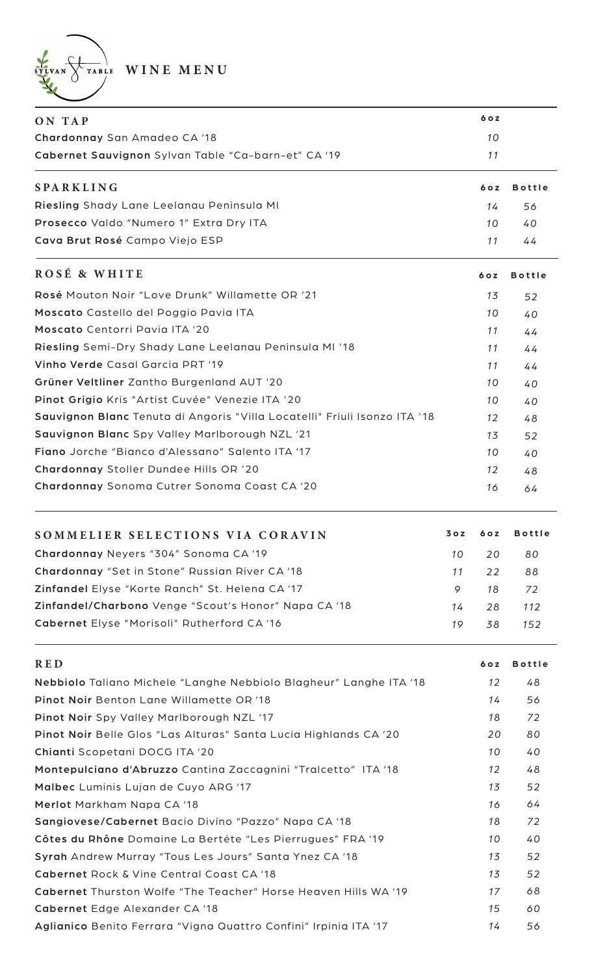WINE MENU

| ON TAP                                                                    |     | 6 o z |               |
|---------------------------------------------------------------------------|-----|-------|---------------|
| Chardonnay San Amadeo CA '18                                              |     | 10    |               |
| Cabernet Sauvignon Sylvan Table "Ca-barn-et" CA '19                       |     | 11    |               |
| <b>SPARKLING</b>                                                          |     | 6 o z | <b>Bottle</b> |
| Riesling Shady Lane Leelanau Peninsula MI                                 |     | 14    | 56            |
| Prosecco Valdo "Numero 1" Extra Dry ITA                                   |     | 10    | 40            |
| Cava Brut Rosé Campo Viejo ESP                                            |     | 11    | 44            |
| ROSÉ & WHITE                                                              |     | 60Z   | <b>Bottle</b> |
| Rosé Mouton Noir "Love Drunk" Willamette OR '21                           |     | 13    | 52            |
| Moscato Castello del Poggio Pavia ITA                                     |     | 10    | 40            |
| Moscato Centorri Pavia ITA '20                                            |     | 11    | 44            |
| Riesling Semi-Dry Shady Lane Leelanau Peninsula MI '18                    |     | 11    | 44            |
| Vinho Verde Casal Garcia PRT '19                                          |     | 11    | 44            |
| Grüner Veltliner Zantho Burgenland AUT '20                                |     | 10    | 40            |
| Pinot Grigio Kris "Artist Cuvée" Venezie ITA '20                          |     | 10    | 40            |
| Sauvignon Blanc Tenuta di Angoris "Villa Locatelli" Friuli Isonzo ITA '18 |     | 12    | 48            |
| Sauvignon Blanc Spy Valley Marlborough NZL '21                            |     | 13    | 52            |
| Fiano Jorche "Bianco d'Alessano" Salento ITA '17                          |     | 10    | 40            |
| Chardonnay Stoller Dundee Hills OR '20                                    |     | 12    | 48            |
| Chardonnay Sonoma Cutrer Sonoma Coast CA '20                              |     | 16    | 64            |
| SOMMELIER SELECTIONS VIA CORAVIN                                          | 30z | 60Z   | <b>Bottle</b> |
| Chardonnay Neyers "304" Sonoma CA '19                                     | 10  | 20    | 80            |
| Chardonnay "Set in Stone" Russian River CA '18                            | 11  | 22    | 88            |
| Zinfandel Elyse "Korte Ranch" St. Helena CA '17                           | 9   | 18    | 72            |
| Zinfandel/Charbono Venge "Scout's Honor" Napa CA '18                      | 14  | 28    | 112           |
| Cabernet Elyse "Morisoli" Rutherford CA '16                               | 19  | 38    | 152           |
| <b>RED</b>                                                                |     | 60Z   | <b>Bottle</b> |
| Nebbiolo Taliano Michele "Langhe Nebbiolo Blagheur" Langhe ITA '18        |     | 12    | 48            |
| Pinot Noir Benton Lane Willamette OR '18                                  |     | 14    | 56            |
| Pinot Noir Spy Valley Marlborough NZL '17                                 |     | 18    | 72            |
| Pinot Noir Belle Glos "Las Alturas" Santa Lucia Highlands CA '20          |     | 20    | 80            |
| Chianti Scopetani DOCG ITA '20                                            |     | 10    | 40            |
| Montepulciano d'Abruzzo Cantina Zaccagnini "Tralcetto" ITA '18            |     | 12    | 48            |

Malbec Luminis Lujan de Cuyo ARG '17 Merlot Markham Napa CA '18 Sangiovese/Cabernet Bacio Divino "Pazzo" Napa CA '18 Côtes du Rhône Domaine La Bertéte "Les Pierrugues" FRA '19 Syrah Andrew Murray "Tous Les Jours" Santa Ynez CA '18 Cabernet Rock & Vine Central Coast CA '18 Cabernet Thurston Wolfe "The Teacher" Horse Heaven Hills WA '19 Cabernet Edge Alexander CA '18 Aglianico Benito Ferrara "Vigna Quattro Confini" Irpinia ITA '17